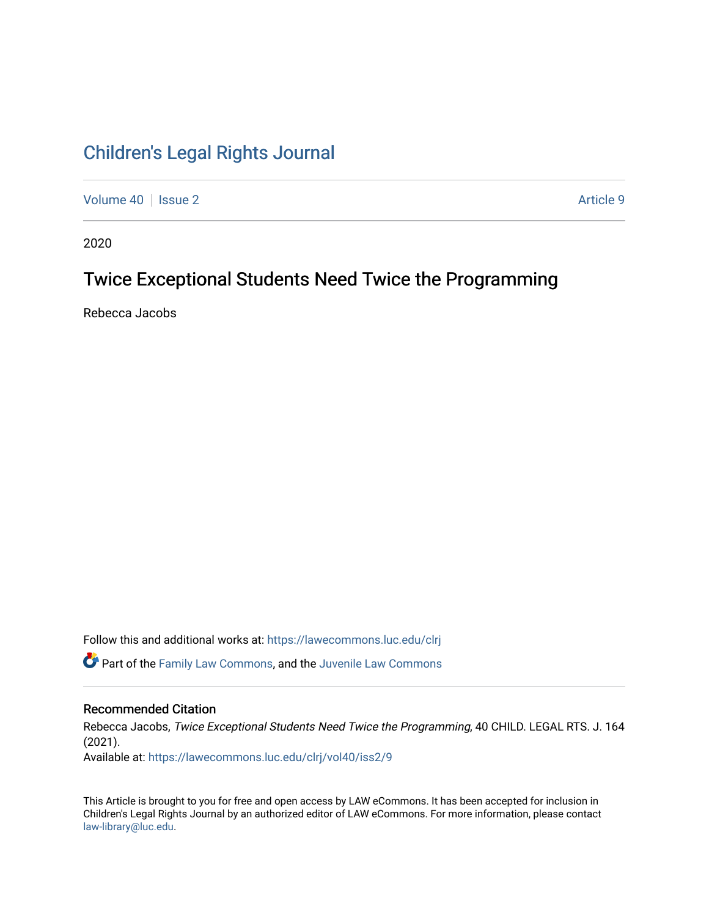# [Children's Legal Rights Journal](https://lawecommons.luc.edu/clrj)

[Volume 40](https://lawecommons.luc.edu/clrj/vol40) | [Issue 2](https://lawecommons.luc.edu/clrj/vol40/iss2) Article 9

2020

## Twice Exceptional Students Need Twice the Programming

Rebecca Jacobs

Follow this and additional works at: [https://lawecommons.luc.edu/clrj](https://lawecommons.luc.edu/clrj?utm_source=lawecommons.luc.edu%2Fclrj%2Fvol40%2Fiss2%2F9&utm_medium=PDF&utm_campaign=PDFCoverPages)

**C** Part of the [Family Law Commons,](http://network.bepress.com/hgg/discipline/602?utm_source=lawecommons.luc.edu%2Fclrj%2Fvol40%2Fiss2%2F9&utm_medium=PDF&utm_campaign=PDFCoverPages) and the Juvenile Law Commons

#### Recommended Citation

Rebecca Jacobs, Twice Exceptional Students Need Twice the Programming, 40 CHILD. LEGAL RTS. J. 164 (2021).

Available at: [https://lawecommons.luc.edu/clrj/vol40/iss2/9](https://lawecommons.luc.edu/clrj/vol40/iss2/9?utm_source=lawecommons.luc.edu%2Fclrj%2Fvol40%2Fiss2%2F9&utm_medium=PDF&utm_campaign=PDFCoverPages) 

This Article is brought to you for free and open access by LAW eCommons. It has been accepted for inclusion in Children's Legal Rights Journal by an authorized editor of LAW eCommons. For more information, please contact [law-library@luc.edu](mailto:law-library@luc.edu).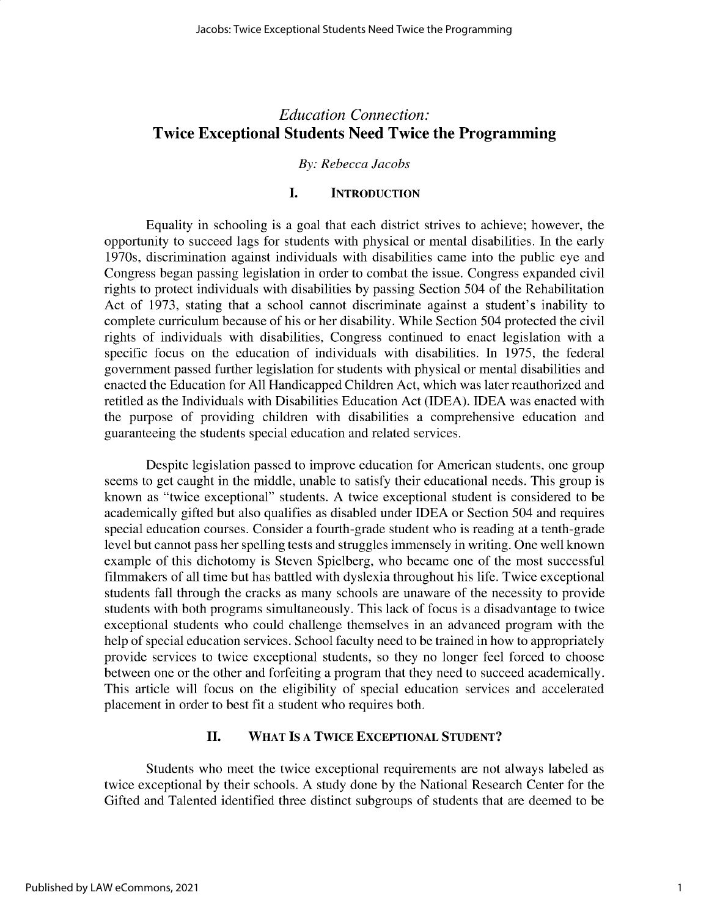### *Education Connection:* **Twice Exceptional Students Need Twice the Programming**

#### *By: Rebecca Jacobs*

#### **I. INTRODUCTION**

Equality in schooling is a goal that each district strives to achieve; however, the opportunity to succeed lags for students with physical or mental disabilities. In the early 1970s, discrimination against individuals with disabilities came into the public eye and Congress began passing legislation in order to combat the issue. Congress expanded civil rights to protect individuals with disabilities by passing Section *504* of the Rehabilitation Act of 1973, stating that a school cannot discriminate against a student's inability to complete curriculum because of his or her disability. While Section *504* protected the civil rights of individuals with disabilities, Congress continued to enact legislation with a specific focus on the education of individuals with disabilities. In 1975, the federal government passed further legislation for students with physical or mental disabilities and enacted the Education for All Handicapped Children Act, which was later reauthorized and retitled as the Individuals with Disabilities Education Act (IDEA). IDEA was enacted with the purpose of providing children with disabilities a comprehensive education and guaranteeing the students special education and related services.

Despite legislation passed to improve education for American students, one group seems to get caught in the middle, unable to satisfy their educational needs. This group is known as "twice exceptional" students. A twice exceptional student is considered to be academically gifted but also qualifies as disabled under IDEA or Section 504 and requires special education courses. Consider a fourth-grade student who is reading at a tenth-grade level but cannot pass her spelling tests and struggles immensely in writing. One well known example of this dichotomy is Steven Spielberg, who became one of the most successful filmmakers of all time but has battled with dyslexia throughout his life. Twice exceptional students fall through the cracks as many schools are unaware of the necessity to provide students with both programs simultaneously. This lack of focus is a disadvantage to twice exceptional students who could challenge themselves in an advanced program with the help of special education services. School faculty need to be trained in how to appropriately provide services to twice exceptional students, so they no longer feel forced to choose between one or the other and forfeiting a program that they need to succeed academically. This article will focus on the eligibility of special education services and accelerated placement in order to best fit a student who requires both.

#### **II. WHAT IS A TWICE EXCEPTIONAL STUDENT?**

Students who meet the twice exceptional requirements are not always labeled as twice exceptional by their schools. A study done by the National Research Center for the Gifted and Talented identified three distinct subgroups of students that are deemed to be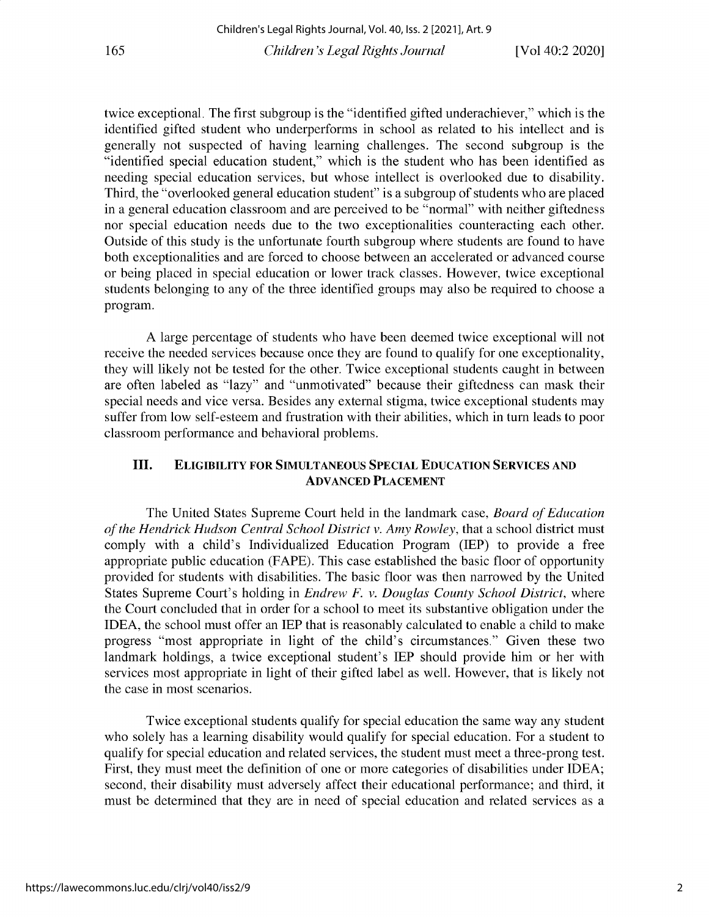twice exceptional. The first subgroup is the "identified gifted underachiever," which is the identified gifted student who underperforms in school as related to his intellect and is generally not suspected of having learning challenges. The second subgroup is the "identified special education student," which is the student who has been identified as needing special education services, but whose intellect is overlooked due to disability. Third, the "overlooked general education student" is a subgroup of students who are placed in a general education classroom and are perceived to be "normal" with neither giftedness nor special education needs due to the two exceptionalities counteracting each other. Outside of this study is the unfortunate fourth subgroup where students are found to have both exceptionalities and are forced to choose between an accelerated or advanced course or being placed in special education or lower track classes. However, twice exceptional students belonging to any of the three identified groups may also be required to choose a program.

A large percentage of students who have been deemed twice exceptional will not receive the needed services because once they are found to qualify for one exceptionality, they will likely not be tested for the other. Twice exceptional students caught in between are often labeled as "lazy" and "unmotivated" because their giftedness can mask their special needs and vice versa. Besides any external stigma, twice exceptional students may suffer from low self-esteem and frustration with their abilities, which in turn leads to poor classroom performance and behavioral problems.

#### **III. ELIGIBILITY FOR SIMULTANEOUS SPECIAL EDUCATION SERVICES AND ADVANCED PLACEMENT**

The United States Supreme Court held in the landmark case, *Board of Education of the Hendrick Hudson Central School District v. Amy Rowley,* that a school district must comply with a child's Individualized Education Program (IEP) to provide a free appropriate public education (FAPE). This case established the basic floor of opportunity provided for students with disabilities. The basic floor was then narrowed by the United States Supreme Court's holding in *Endrew F. v. Douglas County School District,* where the Court concluded that in order for a school to meet its substantive obligation under the IDEA, the school must offer an IEP that is reasonably calculated to enable a child to make progress "most appropriate in light of the child's circumstances." Given these two landmark holdings, a twice exceptional student's IEP should provide him or her with services most appropriate in light of their gifted label as well. However, that is likely not the case in most scenarios.

Twice exceptional students qualify for special education the same way any student who solely has a learning disability would qualify for special education. For a student to qualify for special education and related services, the student must meet a three-prong test. First, they must meet the definition of one or more categories of disabilities under IDEA; second, their disability must adversely affect their educational performance; and third, it must be determined that they are in need of special education and related services as a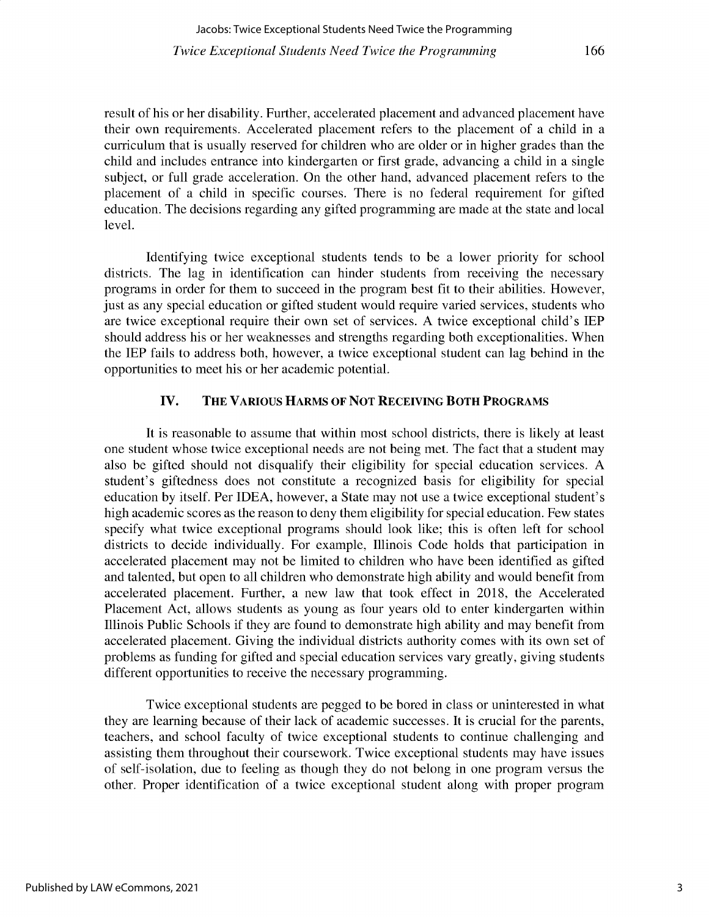166

result of his or her disability. Further, accelerated placement and advanced placement have their own requirements. Accelerated placement refers to the placement of a child in a curriculum that is usually reserved for children who are older or in higher grades than the child and includes entrance into kindergarten or first grade, advancing a child in a single subject, or full grade acceleration. On the other hand, advanced placement refers to the placement of a child in specific courses. There is no federal requirement for gifted education. The decisions regarding any gifted programming are made at the state and local level.

Identifying twice exceptional students tends to be a lower priority for school districts. The lag in identification can hinder students from receiving the necessary programs in order for them to succeed in the program best fit to their abilities. However, just as any special education or gifted student would require varied services, students who are twice exceptional require their own set of services. A twice exceptional child's IEP should address his or her weaknesses and strengths regarding both exceptionalities. When the IEP fails to address both, however, a twice exceptional student can lag behind in the opportunities to meet his or her academic potential.

#### **IV. THE VARIOUS HARMS OF NOT RECEIVING BOTH PROGRAMS**

It is reasonable to assume that within most school districts, there is likely at least one student whose twice exceptional needs are not being met. The fact that a student may also be gifted should not disqualify their eligibility for special education services. A student's giftedness does not constitute a recognized basis for eligibility for special education by itself. Per IDEA, however, a State may not use a twice exceptional student's high academic scores as the reason to deny them eligibility for special education. Few states specify what twice exceptional programs should look like; this is often left for school districts to decide individually. For example, Illinois Code holds that participation in accelerated placement may not be limited to children who have been identified as gifted and talented, but open to all children who demonstrate high ability and would benefit from accelerated placement. Further, a new law that took effect in 2018, the Accelerated Placement Act, allows students as young as four years old to enter kindergarten within Illinois Public Schools if they are found to demonstrate high ability and may benefit from accelerated placement. Giving the individual districts authority comes with its own set of problems as funding for gifted and special education services vary greatly, giving students different opportunities to receive the necessary programming.

Twice exceptional students are pegged to be bored in class or uninterested in what they are learning because of their lack of academic successes. It is crucial for the parents, teachers, and school faculty of twice exceptional students to continue challenging and assisting them throughout their coursework. Twice exceptional students may have issues of self-isolation, due to feeling as though they do not belong in one program versus the other. Proper identification of a twice exceptional student along with proper program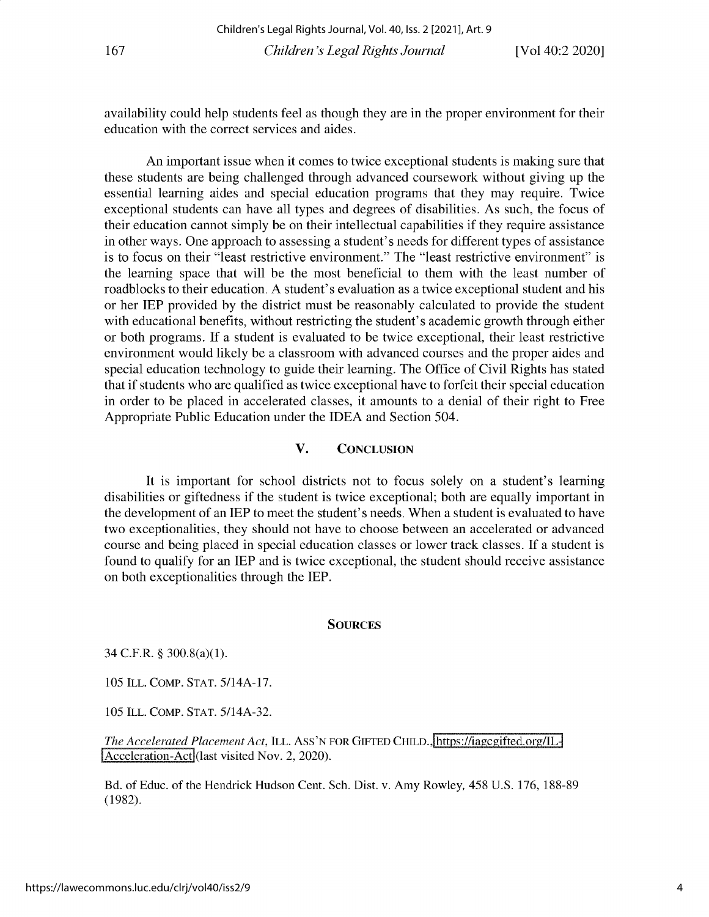availability could help students feel as though they are in the proper environment for their education with the correct services and aides.

**An important issue when it comes to twice exceptional students is making sure that these students are being challenged through advanced coursework without giving up the essential learning aides and special education programs that they may require. Twice** exceptional students can have all types and degrees of disabilities. As such, the focus of **their education cannot simply be on their intellectual capabilities if they require assistance in other ways. One approach to assessing a student's needs for different types of assistance is to focus on their "least restrictive environment." The "least restrictive environment" is the learning space that will be the most beneficial to them with the least number of roadblocks to their education. A student's evaluation as a twice exceptional student and his** or her IEP provided by the district must be reasonably calculated to provide the student with educational benefits, without restricting the student's academic growth through either or both programs. If a student is evaluated to be twice exceptional, their least restrictive **environment would likely be a classroom with advanced courses and the proper aides and special education technology to guide their learning. The Office of Civil Rights has stated that if students who are qualified as twice exceptional have to forfeit their special education in order to be placed in accelerated classes, it amounts to a denial of their right to Free** Appropriate Public Education under the IDEA and Section 504.

#### **V. CONCLUSION**

**It is important for school districts not to focus solely on a student's learning** disabilities or giftedness if the student is twice exceptional; both are equally important in **the development of an IEP to meet the student's needs. When a student is evaluated to have two exceptionalities, they should not have to choose between an accelerated or advanced course and being placed in special education classes or lower track classes. If a student is found to qualify for an IEP and is twice exceptional, the student should receive assistance** on both exceptionalities through the IEP.

#### **SOURCES**

34 C.F.R. § **300.8(a)(1).**

**105 ILL. COMP.** STAT. 5/14A-17.

**105 ILL. COMP. STAT. 5/14A-32.**

*The Accelerated Placement Act, ILL. ASS'N FOR GIFTED CHILD., https://iagcgifted.org/IL-*Acceleration-Act (last visited Nov. 2, 2020).

Bd. of Educ. of the Hendrick Hudson Cent. Sch. Dist. v. Amy Rowley, 458 U.S. 176, 188-89 (1982).